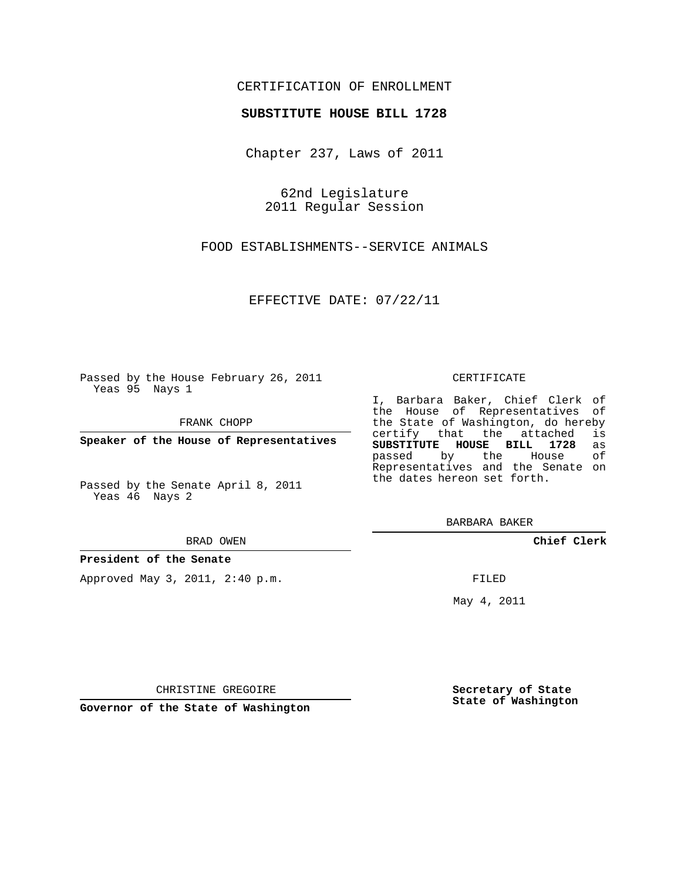## CERTIFICATION OF ENROLLMENT

### **SUBSTITUTE HOUSE BILL 1728**

Chapter 237, Laws of 2011

62nd Legislature 2011 Regular Session

FOOD ESTABLISHMENTS--SERVICE ANIMALS

EFFECTIVE DATE: 07/22/11

Passed by the House February 26, 2011 Yeas 95 Nays 1

FRANK CHOPP

**Speaker of the House of Representatives**

Passed by the Senate April 8, 2011 Yeas 46 Nays 2

#### BRAD OWEN

### **President of the Senate**

Approved May 3, 2011, 2:40 p.m.

#### CERTIFICATE

I, Barbara Baker, Chief Clerk of the House of Representatives of the State of Washington, do hereby<br>certify that the attached is certify that the attached **SUBSTITUTE HOUSE BILL 1728** as passed by the House of Representatives and the Senate on the dates hereon set forth.

BARBARA BAKER

**Chief Clerk**

FILED

May 4, 2011

**Secretary of State State of Washington**

CHRISTINE GREGOIRE

**Governor of the State of Washington**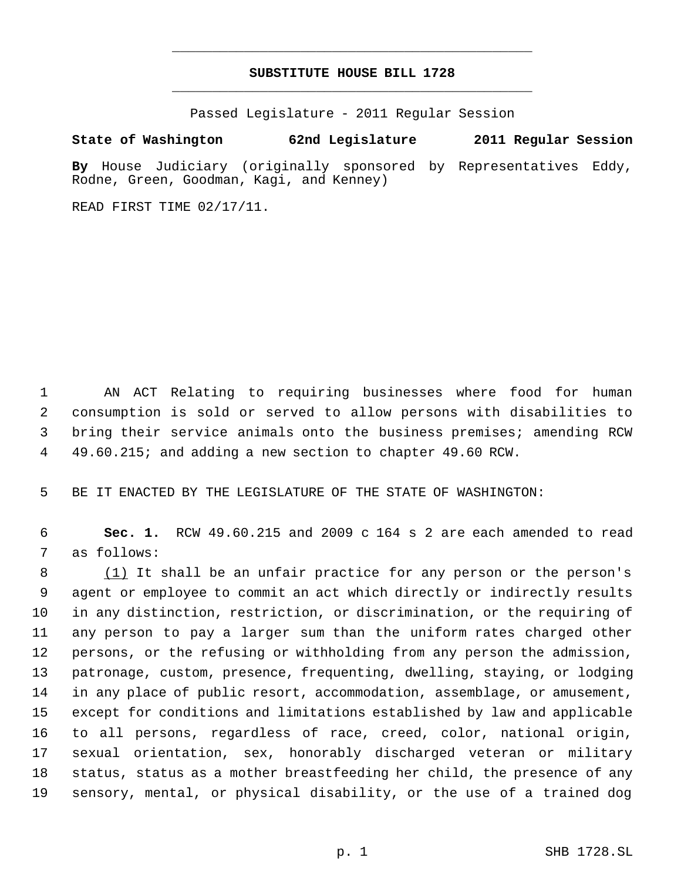# **SUBSTITUTE HOUSE BILL 1728** \_\_\_\_\_\_\_\_\_\_\_\_\_\_\_\_\_\_\_\_\_\_\_\_\_\_\_\_\_\_\_\_\_\_\_\_\_\_\_\_\_\_\_\_\_

\_\_\_\_\_\_\_\_\_\_\_\_\_\_\_\_\_\_\_\_\_\_\_\_\_\_\_\_\_\_\_\_\_\_\_\_\_\_\_\_\_\_\_\_\_

Passed Legislature - 2011 Regular Session

## **State of Washington 62nd Legislature 2011 Regular Session**

**By** House Judiciary (originally sponsored by Representatives Eddy, Rodne, Green, Goodman, Kagi, and Kenney)

READ FIRST TIME 02/17/11.

 AN ACT Relating to requiring businesses where food for human consumption is sold or served to allow persons with disabilities to bring their service animals onto the business premises; amending RCW 49.60.215; and adding a new section to chapter 49.60 RCW.

BE IT ENACTED BY THE LEGISLATURE OF THE STATE OF WASHINGTON:

 **Sec. 1.** RCW 49.60.215 and 2009 c 164 s 2 are each amended to read as follows:

8 (1) It shall be an unfair practice for any person or the person's agent or employee to commit an act which directly or indirectly results in any distinction, restriction, or discrimination, or the requiring of any person to pay a larger sum than the uniform rates charged other persons, or the refusing or withholding from any person the admission, patronage, custom, presence, frequenting, dwelling, staying, or lodging in any place of public resort, accommodation, assemblage, or amusement, except for conditions and limitations established by law and applicable to all persons, regardless of race, creed, color, national origin, sexual orientation, sex, honorably discharged veteran or military status, status as a mother breastfeeding her child, the presence of any sensory, mental, or physical disability, or the use of a trained dog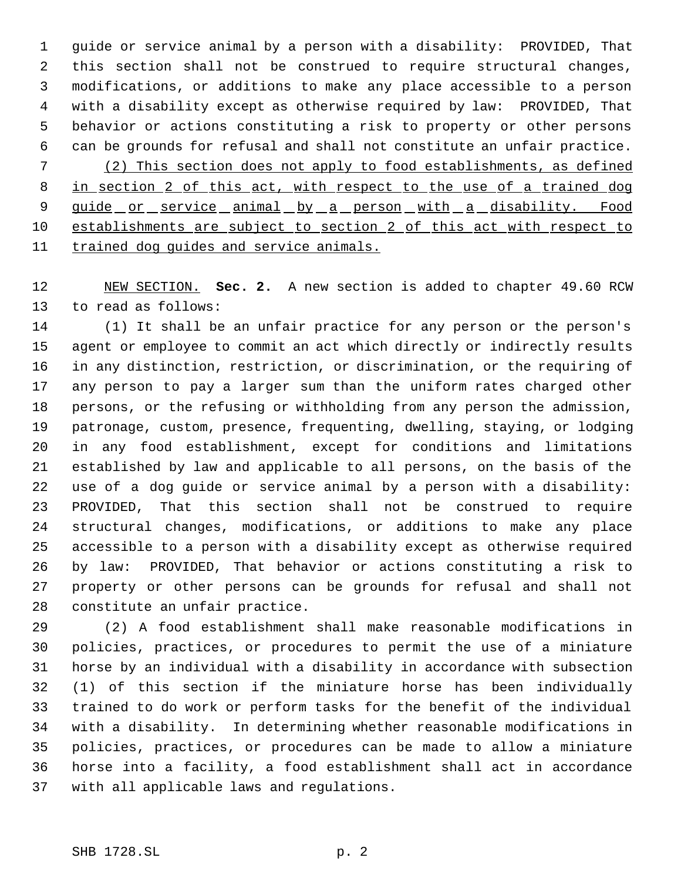guide or service animal by a person with a disability: PROVIDED, That this section shall not be construed to require structural changes, modifications, or additions to make any place accessible to a person with a disability except as otherwise required by law: PROVIDED, That behavior or actions constituting a risk to property or other persons can be grounds for refusal and shall not constitute an unfair practice. (2) This section does not apply to food establishments, as defined 8 in section 2 of this act, with respect to the use of a trained dog 9 guide or service animal by a person with a disability. Food establishments are subject to section 2 of this act with respect to trained dog guides and service animals.

 NEW SECTION. **Sec. 2.** A new section is added to chapter 49.60 RCW to read as follows:

 (1) It shall be an unfair practice for any person or the person's agent or employee to commit an act which directly or indirectly results in any distinction, restriction, or discrimination, or the requiring of any person to pay a larger sum than the uniform rates charged other persons, or the refusing or withholding from any person the admission, patronage, custom, presence, frequenting, dwelling, staying, or lodging in any food establishment, except for conditions and limitations established by law and applicable to all persons, on the basis of the use of a dog guide or service animal by a person with a disability: PROVIDED, That this section shall not be construed to require structural changes, modifications, or additions to make any place accessible to a person with a disability except as otherwise required by law: PROVIDED, That behavior or actions constituting a risk to property or other persons can be grounds for refusal and shall not constitute an unfair practice.

 (2) A food establishment shall make reasonable modifications in policies, practices, or procedures to permit the use of a miniature horse by an individual with a disability in accordance with subsection (1) of this section if the miniature horse has been individually trained to do work or perform tasks for the benefit of the individual with a disability. In determining whether reasonable modifications in policies, practices, or procedures can be made to allow a miniature horse into a facility, a food establishment shall act in accordance with all applicable laws and regulations.